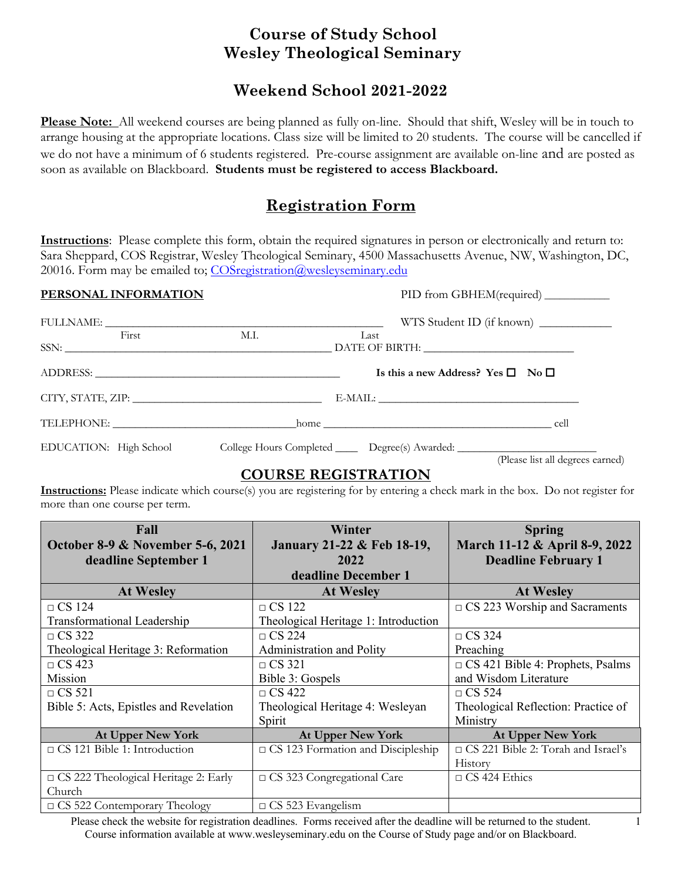# **Course of Study School Wesley Theological Seminary**

# **Weekend School 2021-2022**

**Please Note:** All weekend courses are being planned as fully on-line. Should that shift, Wesley will be in touch to arrange housing at the appropriate locations. Class size will be limited to 20 students. The course will be cancelled if we do not have a minimum of 6 students registered. Pre-course assignment are available on-line and are posted as soon as available on Blackboard. **Students must be registered to access Blackboard.**

# **Registration Form**

**Instructions**: Please complete this form, obtain the required signatures in person or electronically and return to: Sara Sheppard, COS Registrar, Wesley Theological Seminary, 4500 Massachusetts Avenue, NW, Washington, DC, 20016. Form may be emailed to; COSregistration@wesleyseminary.edu

| PERSONAL INFORMATION                                                                                                                                                                                                                                                                                                                                                                                                                                                                                                                                  |      | PID from GBHEM(required) ___________                                                                  |
|-------------------------------------------------------------------------------------------------------------------------------------------------------------------------------------------------------------------------------------------------------------------------------------------------------------------------------------------------------------------------------------------------------------------------------------------------------------------------------------------------------------------------------------------------------|------|-------------------------------------------------------------------------------------------------------|
| ${\large\hbox{\tt FULLNAME}}:\underline{\hspace{2.5cm}}{\large\hbox{\tt IULNAME}}:\underline{\hspace{2.5cm}}{\large\hbox{\tt IULNAME}}:\underline{\hspace{2.5cm}}{\large\hbox{\tt IULNAME}}:\underline{\hspace{2.5cm}}{\large\hbox{\tt IULNAME}}:\underline{\hspace{2.5cm}}{\large\hbox{\tt IULNAME}}:\underline{\hspace{2.5cm}}{\large\hbox{\tt IULNAME}}:\underline{\hspace{2.5cm}}{\large\hbox{\tt IULNAME}}:\underline{\hspace{2.5cm}}{\large\hbox{\tt IULNAME}}:\underline{\hspace{2.5cm}}{\large\hbox{\tt IULNAME}}:\underline{\hspace{2.5cm}}$ |      | WTS Student ID (if known)                                                                             |
| First                                                                                                                                                                                                                                                                                                                                                                                                                                                                                                                                                 | M.I. | Last                                                                                                  |
|                                                                                                                                                                                                                                                                                                                                                                                                                                                                                                                                                       |      |                                                                                                       |
|                                                                                                                                                                                                                                                                                                                                                                                                                                                                                                                                                       |      | Is this a new Address? Yes $\square$ No $\square$                                                     |
|                                                                                                                                                                                                                                                                                                                                                                                                                                                                                                                                                       |      |                                                                                                       |
|                                                                                                                                                                                                                                                                                                                                                                                                                                                                                                                                                       |      | TELEPHONE: home home cell                                                                             |
|                                                                                                                                                                                                                                                                                                                                                                                                                                                                                                                                                       |      | EDUCATION: High School College Hours Completed Degree(s) Awarded:<br>(Please list all degrees earned) |

### **COURSE REGISTRATION**

**Instructions:** Please indicate which course(s) you are registering for by entering a check mark in the box. Do not register for more than one course per term.

| Fall<br><b>October 8-9 &amp; November 5-6, 2021</b> | Winter<br>January 21-22 & Feb 18-19,     | <b>Spring</b><br>March 11-12 & April 8-9, 2022 |  |
|-----------------------------------------------------|------------------------------------------|------------------------------------------------|--|
| deadline September 1                                | 2022                                     | <b>Deadline February 1</b>                     |  |
|                                                     | deadline December 1                      |                                                |  |
| <b>At Wesley</b>                                    | <b>At Wesley</b>                         | <b>At Wesley</b>                               |  |
| $\Box$ CS 124                                       | $\Box$ CS 122                            | $\Box$ CS 223 Worship and Sacraments           |  |
| <b>Transformational Leadership</b>                  | Theological Heritage 1: Introduction     |                                                |  |
| $\Box$ CS 322                                       | $\Box$ CS 224                            | $\Box$ CS 324                                  |  |
| Theological Heritage 3: Reformation                 | Administration and Polity                | Preaching                                      |  |
| $\Box$ CS 423                                       | $\Box$ CS 321                            | $\Box$ CS 421 Bible 4: Prophets, Psalms        |  |
| Mission                                             | Bible 3: Gospels                         | and Wisdom Literature                          |  |
| $\Box$ CS 521                                       | $\Box$ CS 422                            | $\Box$ CS 524                                  |  |
| Bible 5: Acts, Epistles and Revelation              | Theological Heritage 4: Wesleyan         | Theological Reflection: Practice of            |  |
|                                                     | Spirit                                   | Ministry                                       |  |
| At Upper New York                                   | At Upper New York                        | At Upper New York                              |  |
| $\Box$ CS 121 Bible 1: Introduction                 | $\Box$ CS 123 Formation and Discipleship | □ CS 221 Bible 2: Torah and Israel's           |  |
|                                                     |                                          | History                                        |  |
| $\Box$ CS 222 Theological Heritage 2: Early         | □ CS 323 Congregational Care             | $\Box$ CS 424 Ethics                           |  |
| Church                                              |                                          |                                                |  |
| $\Box$ CS 522 Contemporary Theology                 | $\Box$ CS 523 Evangelism                 |                                                |  |

Please check the website for registration deadlines. Forms received after the deadline will be returned to the student. Course information available at www.wesleyseminary.edu on the Course of Study page and/or on Blackboard.

1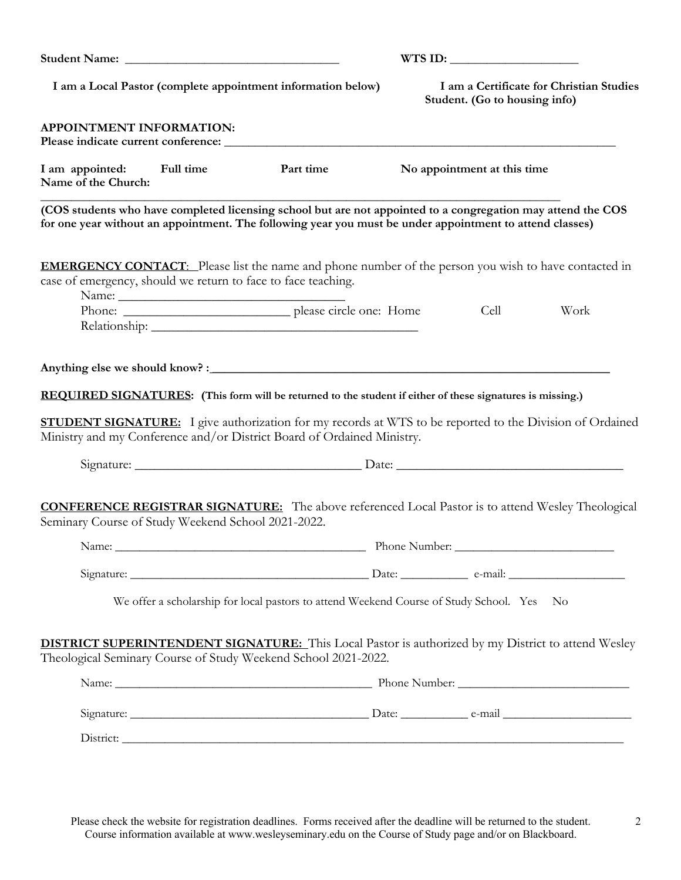| I am a Local Pastor (complete appointment information below)<br>Student. (Go to housing info)<br>APPOINTMENT INFORMATION:<br>I am appointed:<br>Full time<br>Part time<br>No appointment at this time<br>Name of the Church:<br>(COS students who have completed licensing school but are not appointed to a congregation may attend the COS<br>for one year without an appointment. The following year you must be under appointment to attend classes)<br><b>EMERGENCY CONTACT:</b> Please list the name and phone number of the person you wish to have contacted in<br>case of emergency, should we return to face to face teaching.<br>Cell<br>Work<br><b>REQUIRED SIGNATURES:</b> (This form will be returned to the student if either of these signatures is missing.)<br><b>STUDENT SIGNATURE:</b> I give authorization for my records at WTS to be reported to the Division of Ordained<br>Ministry and my Conference and/or District Board of Ordained Ministry.<br><b>CONFERENCE REGISTRAR SIGNATURE:</b> The above referenced Local Pastor is to attend Wesley Theological<br>Seminary Course of Study Weekend School 2021-2022.<br>We offer a scholarship for local pastors to attend Weekend Course of Study School. Yes No<br><b>DISTRICT SUPERINTENDENT SIGNATURE:</b> This Local Pastor is authorized by my District to attend Wesley<br>Theological Seminary Course of Study Weekend School 2021-2022. |  |  | WTS ID:                                  |  |  |  |
|--------------------------------------------------------------------------------------------------------------------------------------------------------------------------------------------------------------------------------------------------------------------------------------------------------------------------------------------------------------------------------------------------------------------------------------------------------------------------------------------------------------------------------------------------------------------------------------------------------------------------------------------------------------------------------------------------------------------------------------------------------------------------------------------------------------------------------------------------------------------------------------------------------------------------------------------------------------------------------------------------------------------------------------------------------------------------------------------------------------------------------------------------------------------------------------------------------------------------------------------------------------------------------------------------------------------------------------------------------------------------------------------------------------------------|--|--|------------------------------------------|--|--|--|
|                                                                                                                                                                                                                                                                                                                                                                                                                                                                                                                                                                                                                                                                                                                                                                                                                                                                                                                                                                                                                                                                                                                                                                                                                                                                                                                                                                                                                          |  |  | I am a Certificate for Christian Studies |  |  |  |
|                                                                                                                                                                                                                                                                                                                                                                                                                                                                                                                                                                                                                                                                                                                                                                                                                                                                                                                                                                                                                                                                                                                                                                                                                                                                                                                                                                                                                          |  |  |                                          |  |  |  |
|                                                                                                                                                                                                                                                                                                                                                                                                                                                                                                                                                                                                                                                                                                                                                                                                                                                                                                                                                                                                                                                                                                                                                                                                                                                                                                                                                                                                                          |  |  |                                          |  |  |  |
|                                                                                                                                                                                                                                                                                                                                                                                                                                                                                                                                                                                                                                                                                                                                                                                                                                                                                                                                                                                                                                                                                                                                                                                                                                                                                                                                                                                                                          |  |  |                                          |  |  |  |
|                                                                                                                                                                                                                                                                                                                                                                                                                                                                                                                                                                                                                                                                                                                                                                                                                                                                                                                                                                                                                                                                                                                                                                                                                                                                                                                                                                                                                          |  |  |                                          |  |  |  |
|                                                                                                                                                                                                                                                                                                                                                                                                                                                                                                                                                                                                                                                                                                                                                                                                                                                                                                                                                                                                                                                                                                                                                                                                                                                                                                                                                                                                                          |  |  |                                          |  |  |  |
|                                                                                                                                                                                                                                                                                                                                                                                                                                                                                                                                                                                                                                                                                                                                                                                                                                                                                                                                                                                                                                                                                                                                                                                                                                                                                                                                                                                                                          |  |  |                                          |  |  |  |
|                                                                                                                                                                                                                                                                                                                                                                                                                                                                                                                                                                                                                                                                                                                                                                                                                                                                                                                                                                                                                                                                                                                                                                                                                                                                                                                                                                                                                          |  |  |                                          |  |  |  |
|                                                                                                                                                                                                                                                                                                                                                                                                                                                                                                                                                                                                                                                                                                                                                                                                                                                                                                                                                                                                                                                                                                                                                                                                                                                                                                                                                                                                                          |  |  |                                          |  |  |  |
|                                                                                                                                                                                                                                                                                                                                                                                                                                                                                                                                                                                                                                                                                                                                                                                                                                                                                                                                                                                                                                                                                                                                                                                                                                                                                                                                                                                                                          |  |  |                                          |  |  |  |
|                                                                                                                                                                                                                                                                                                                                                                                                                                                                                                                                                                                                                                                                                                                                                                                                                                                                                                                                                                                                                                                                                                                                                                                                                                                                                                                                                                                                                          |  |  |                                          |  |  |  |
|                                                                                                                                                                                                                                                                                                                                                                                                                                                                                                                                                                                                                                                                                                                                                                                                                                                                                                                                                                                                                                                                                                                                                                                                                                                                                                                                                                                                                          |  |  |                                          |  |  |  |
|                                                                                                                                                                                                                                                                                                                                                                                                                                                                                                                                                                                                                                                                                                                                                                                                                                                                                                                                                                                                                                                                                                                                                                                                                                                                                                                                                                                                                          |  |  |                                          |  |  |  |
|                                                                                                                                                                                                                                                                                                                                                                                                                                                                                                                                                                                                                                                                                                                                                                                                                                                                                                                                                                                                                                                                                                                                                                                                                                                                                                                                                                                                                          |  |  |                                          |  |  |  |
|                                                                                                                                                                                                                                                                                                                                                                                                                                                                                                                                                                                                                                                                                                                                                                                                                                                                                                                                                                                                                                                                                                                                                                                                                                                                                                                                                                                                                          |  |  |                                          |  |  |  |
|                                                                                                                                                                                                                                                                                                                                                                                                                                                                                                                                                                                                                                                                                                                                                                                                                                                                                                                                                                                                                                                                                                                                                                                                                                                                                                                                                                                                                          |  |  |                                          |  |  |  |

Please check the website for registration deadlines. Forms received after the deadline will be returned to the student. Course information available at www.wesleyseminary.edu on the Course of Study page and/or on Blackboard.